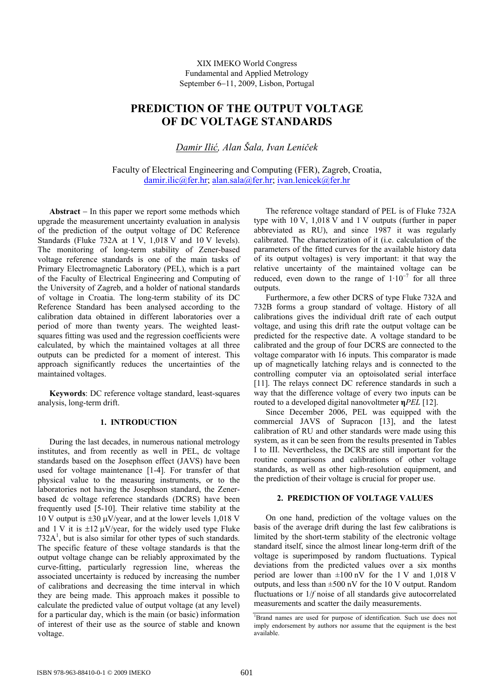XIX IMEKO World Congress Fundamental and Applied Metrology September 6−11, 2009, Lisbon, Portugal

# **PREDICTION OF THE OUTPUT VOLTAGE OF DC VOLTAGE STANDARDS**

*Damir Ilić, Alan Šala, Ivan Leniček* 

Faculty of Electrical Engineering and Computing (FER), Zagreb, Croatia, [damir.ilic@fer.hr](mailto:damir.ilic@fer.hr); [alan.sala@fer.hr](mailto:alan.sala@fer.hr); [ivan.lenicek@fer.hr](mailto:ivan.lenicek@fer.hr)

**Abstract** − In this paper we report some methods which upgrade the measurement uncertainty evaluation in analysis of the prediction of the output voltage of DC Reference Standards (Fluke 732A at 1 V, 1,018 V and 10 V levels). The monitoring of long-term stability of Zener-based voltage reference standards is one of the main tasks of Primary Electromagnetic Laboratory (PEL), which is a part of the Faculty of Electrical Engineering and Computing of the University of Zagreb, and a holder of national standards of voltage in Croatia. The long-term stability of its DC Reference Standard has been analysed according to the calibration data obtained in different laboratories over a period of more than twenty years. The weighted leastsquares fitting was used and the regression coefficients were calculated, by which the maintained voltages at all three outputs can be predicted for a moment of interest. This approach significantly reduces the uncertainties of the maintained voltages.

**Keywords**: DC reference voltage standard, least-squares analysis, long-term drift.

# **1. INTRODUCTION**

During the last decades, in numerous national metrology institutes, and from recently as well in PEL, dc voltage standards based on the Josephson effect (JAVS) have been used for voltage maintenance [1-4]. For transfer of that physical value to the measuring instruments, or to the laboratories not having the Josephson standard, the Zenerbased dc voltage reference standards (DCRS) have been frequently used [5-10]. Their relative time stability at the 10 V output is  $\pm 30 \mu V$ /year, and at the lower levels 1,018 V and 1 V it is  $\pm 12 \mu V$ /year, for the widely used type Fluke 732A<sup>1</sup>, but is also similar for other types of such standards. The specific feature of these voltage standards is that the output voltage change can be reliably approximated by the curve-fitting, particularly regression line, whereas the associated uncertainty is reduced by increasing the number of calibrations and decreasing the time interval in which they are being made. This approach makes it possible to calculate the predicted value of output voltage (at any level) for a particular day, which is the main (or basic) information of interest of their use as the source of stable and known voltage.

The reference voltage standard of PEL is of Fluke 732A type with 10 V, 1,018 V and 1 V outputs (further in paper abbreviated as RU), and since 1987 it was regularly calibrated. The characterization of it (i.e. calculation of the parameters of the fitted curves for the available history data of its output voltages) is very important: it that way the relative uncertainty of the maintained voltage can be reduced, even down to the range of  $1 \cdot 10^{-7}$  for all three outputs.

Furthermore, a few other DCRS of type Fluke 732A and 732B forms a group standard of voltage. History of all calibrations gives the individual drift rate of each output voltage, and using this drift rate the output voltage can be predicted for the respective date. A voltage standard to be calibrated and the group of four DCRS are connected to the voltage comparator with 16 inputs. This comparator is made up of magnetically latching relays and is connected to the controlling computer via an optoisolated serial interface [11]. The relays connect DC reference standards in such a way that the difference voltage of every two inputs can be routed to a developed digital nanovoltmeter **η***PEL* [12].

Since December 2006, PEL was equipped with the commercial JAVS of Supracon [13], and the latest calibration of RU and other standards were made using this system, as it can be seen from the results presented in Tables I to III. Nevertheless, the DCRS are still important for the routine comparisons and calibrations of other voltage standards, as well as other high-resolution equipment, and the prediction of their voltage is crucial for proper use.

# **2. PREDICTION OF VOLTAGE VALUES**

 On one hand, prediction of the voltage values on the basis of the average drift during the last few calibrations is limited by the short-term stability of the electronic voltage standard itself, since the almost linear long-term drift of the voltage is superimposed by random fluctuations. Typical deviations from the predicted values over a six months period are lower than  $\pm 100$  nV for the 1 V and 1,018 V outputs, and less than ±500 nV for the 10 V output. Random fluctuations or 1/*f* noise of all standards give autocorrelated measurements and scatter the daily measurements.

<sup>1</sup> Brand names are used for purpose of identification. Such use does not imply endorsement by authors nor assume that the equipment is the best available.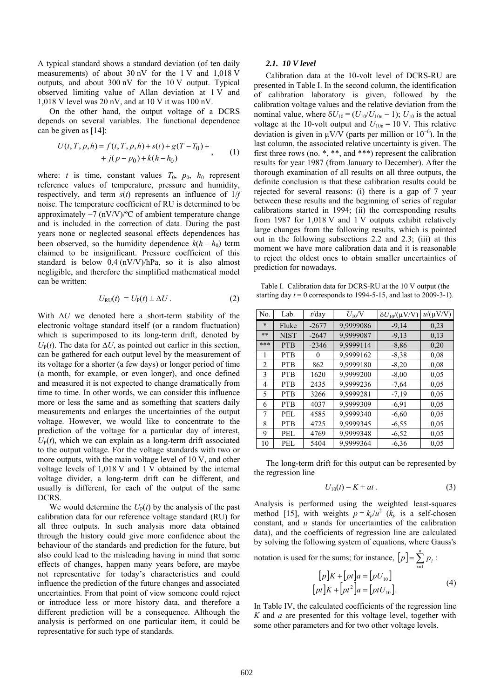A typical standard shows a standard deviation (of ten daily measurements) of about 30 nV for the 1 V and 1,018 V outputs, and about 300 nV for the 10 V output. Typical observed limiting value of Allan deviation at 1 V and 1,018 V level was 20 nV, and at 10 V it was 100 nV.

On the other hand, the output voltage of a DCRS depends on several variables. The functional dependence can be given as [14]:

$$
U(t, T, p, h) = f(t, T, p, h) + s(t) + g(T - T_0) ++ j(p - p_0) + k(h - h_0)
$$
 (1)

where: *t* is time, constant values  $T_0$ ,  $p_0$ ,  $h_0$  represent reference values of temperature, pressure and humidity, respectively, and term *s*(*t*) represents an influence of 1/*f* noise. The temperature coefficient of RU is determined to be approximately  $-7$  (nV/V)/ $\degree$ C of ambient temperature change and is included in the correction of data. During the past years none or neglected seasonal effects dependences has been observed, so the humidity dependence  $k(h - h_0)$  term claimed to be insignificant. Pressure coefficient of this standard is below 0,4 (nV/V)/hPa, so it is also almost negligible, and therefore the simplified mathematical model can be written:

$$
U_{\text{RU}}(t) = U_{\text{P}}(t) \pm \Delta U. \tag{2}
$$

With Δ*U* we denoted here a short-term stability of the electronic voltage standard itself (or a random fluctuation) which is superimposed to its long-term drift, denoted by  $U_{\rm P}(t)$ . The data for  $\Delta U$ , as pointed out earlier in this section, can be gathered for each output level by the measurement of its voltage for a shorter (a few days) or longer period of time (a month, for example, or even longer), and once defined and measured it is not expected to change dramatically from time to time. In other words, we can consider this influence more or less the same and as something that scatters daily measurements and enlarges the uncertainties of the output voltage. However, we would like to concentrate to the prediction of the voltage for a particular day of interest,  $U_{P}(t)$ , which we can explain as a long-term drift associated to the output voltage. For the voltage standards with two or more outputs, with the main voltage level of 10 V, and other voltage levels of 1,018 V and 1 V obtained by the internal voltage divider, a long-term drift can be different, and usually is different, for each of the output of the same DCRS.

We would determine the  $U_P(t)$  by the analysis of the past calibration data for our reference voltage standard (RU) for all three outputs. In such analysis more data obtained through the history could give more confidence about the behaviour of the standards and prediction for the future, but also could lead to the misleading having in mind that some effects of changes, happen many years before, are maybe not representative for today's characteristics and could influence the prediction of the future changes and associated uncertainties. From that point of view someone could reject or introduce less or more history data, and therefore a different prediction will be a consequence. Although the analysis is performed on one particular item, it could be representative for such type of standards.

#### *2.1. 10 V level*

Calibration data at the 10-volt level of DCRS-RU are presented in Table I. In the second column, the identification of calibration laboratory is given, followed by the calibration voltage values and the relative deviation from the nominal value, where  $\delta U_{10} = (U_{10}/U_{10n} - 1)$ ;  $U_{10}$  is the actual voltage at the 10-volt output and  $U_{10n} = 10$  V. This relative deviation is given in  $\mu$ V/V (parts per million or 10<sup>-6</sup>). In the last column, the associated relative uncertainty is given. The first three rows (no. \*, \*\*, and \*\*\*) represent the calibration results for year 1987 (from January to December). After the thorough examination of all results on all three outputs, the definite conclusion is that these calibration results could be rejected for several reasons: (i) there is a gap of 7 year between these results and the beginning of series of regular calibrations started in 1994; (ii) the corresponding results from 1987 for 1,018 V and 1 V outputs exhibit relatively large changes from the following results, which is pointed out in the following subsections 2.2 and 2.3; (iii) at this moment we have more calibration data and it is reasonable to reject the oldest ones to obtain smaller uncertainties of prediction for nowadays.

Table I. Calibration data for DCRS-RU at the 10 V output (the starting day  $t = 0$  corresponds to 1994-5-15, and last to 2009-3-1).

| No.            | Lab.        | $t$ /day | $U_{10}/V$ | $\delta U_{10}/(\mu V/V)$ | $u/(\mu V/V)$ |
|----------------|-------------|----------|------------|---------------------------|---------------|
| $\star$        | Fluke       | $-2677$  | 9,9999086  | $-9,14$                   | 0,23          |
| $**$           | <b>NIST</b> | $-2647$  | 9,9999087  | $-9,13$                   | 0,13          |
| ***            | <b>PTB</b>  | $-2346$  | 9,9999114  | $-8,86$                   | 0,20          |
| 1              | <b>PTB</b>  | 0        | 9,9999162  | $-8.38$                   | 0.08          |
| $\overline{2}$ | <b>PTB</b>  | 862      | 9,9999180  | $-8,20$                   | 0.08          |
| 3              | <b>PTB</b>  | 1620     | 9,9999200  | $-8,00$                   | 0.05          |
| 4              | <b>PTB</b>  | 2435     | 9,9999236  | $-7,64$                   | 0.05          |
| 5              | <b>PTB</b>  | 3266     | 9,9999281  | $-7.19$                   | 0.05          |
| 6              | <b>PTB</b>  | 4037     | 9,9999309  | $-6.91$                   | 0.05          |
| 7              | PEL.        | 4585     | 9,9999340  | $-6,60$                   | 0.05          |
| 8              | PTB         | 4725     | 9,9999345  | $-6.55$                   | 0.05          |
| 9              | PEL         | 4769     | 9,9999348  | $-6,52$                   | 0,05          |
| 10             | PEL         | 5404     | 9,9999364  | $-6,36$                   | 0.05          |

The long-term drift for this output can be represented by the regression line

$$
U_{10}(t) = K + at \tag{3}
$$

Analysis is performed using the weighted least-squares method [15], with weights  $p = k_p/u^2$  ( $k_p$  is a self-chosen constant, and *u* stands for uncertainties of the calibration data), and the coefficients of regression line are calculated by solving the following system of equations, where Gauss's

notation is used for the sums; for instance,  $[p] = \sum_{i=1}^{n} p_i$ :  $[p] = \sum_{i=1}^{n} p_i$ 

$$
[p]K + [pt]a = [pU10]
$$

$$
[pt]K + [pt2]a = [ptU10].
$$
 (4)

In Table IV, the calculated coefficients of the regression line *K* and *a* are presented for this voltage level, together with some other parameters and for two other voltage levels.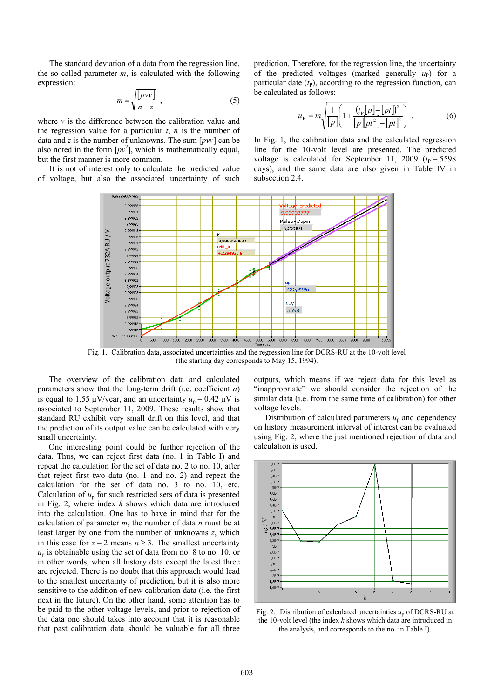The standard deviation of a data from the regression line, the so called parameter *m*, is calculated with the following expression:

$$
m = \sqrt{\frac{pvv}{n - z}} \quad , \tag{5}
$$

where *v* is the difference between the calibration value and the regression value for a particular  $t$ ,  $n$  is the number of data and *z* is the number of unknowns. The sum [*pvv*] can be also noted in the form  $[pv^2]$ , which is mathematically equal, but the first manner is more common.

It is not of interest only to calculate the predicted value of voltage, but also the associated uncertainty of such prediction. Therefore, for the regression line, the uncertainty of the predicted voltages (marked generally  $u_p$ ) for a particular date  $(t<sub>P</sub>)$ , according to the regression function, can be calculated as follows:

$$
u_{\rm P} = m \sqrt{\frac{1}{[p]}\left(1 + \frac{(t_{\rm P}[p] - [pt])^2}{[p]p t^2\right] - [pt]^2}\right)}.
$$
 (6)

In Fig. 1, the calibration data and the calculated regression line for the 10-volt level are presented. The predicted voltage is calculated for September 11, 2009  $(t_P = 5598$ days), and the same data are also given in Table IV in subsection 2.4.



Fig. 1. Calibration data, associated uncertainties and the regression line for DCRS-RU at the 10-volt level (the starting day corresponds to May 15, 1994).

The overview of the calibration data and calculated parameters show that the long-term drift (i.e. coefficient *a*) is equal to 1,55  $\mu$ V/year, and an uncertainty  $u_p = 0.42 \mu$ V is associated to September 11, 2009. These results show that standard RU exhibit very small drift on this level, and that the prediction of its output value can be calculated with very small uncertainty.

One interesting point could be further rejection of the data. Thus, we can reject first data (no. 1 in Table I) and repeat the calculation for the set of data no. 2 to no. 10, after that reject first two data (no. 1 and no. 2) and repeat the calculation for the set of data no. 3 to no. 10, etc. Calculation of  $u_p$  for such restricted sets of data is presented in Fig. 2, where index *k* shows which data are introduced into the calculation. One has to have in mind that for the calculation of parameter *m*, the number of data *n* must be at least larger by one from the number of unknowns *z*, which in this case for  $z = 2$  means  $n \ge 3$ . The smallest uncertainty  $u_p$  is obtainable using the set of data from no. 8 to no. 10, or in other words, when all history data except the latest three are rejected. There is no doubt that this approach would lead to the smallest uncertainty of prediction, but it is also more sensitive to the addition of new calibration data (i.e. the first next in the future). On the other hand, some attention has to be paid to the other voltage levels, and prior to rejection of the data one should takes into account that it is reasonable that past calibration data should be valuable for all three

outputs, which means if we reject data for this level as "inappropriate" we should consider the rejection of the similar data (i.e. from the same time of calibration) for other voltage levels.

Distribution of calculated parameters  $u_p$  and dependency on history measurement interval of interest can be evaluated using Fig. 2, where the just mentioned rejection of data and calculation is used.



Fig. 2. Distribution of calculated uncertainties  $u_p$  of DCRS-RU at the 10-volt level (the index *k* shows which data are introduced in the analysis, and corresponds to the no. in Table I).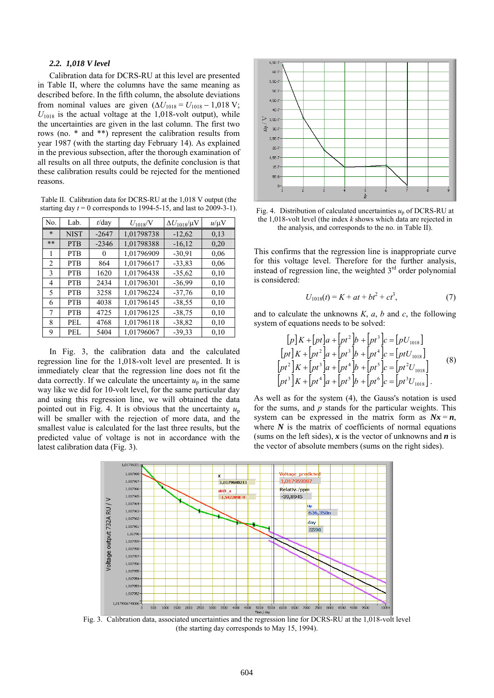# *2.2. 1,018 V level*

Calibration data for DCRS-RU at this level are presented in Table II, where the columns have the same meaning as described before. In the fifth column, the absolute deviations from nominal values are given  $(\Delta U_{1018} = U_{1018} - 1,018 \text{ V};$  $U_{1018}$  is the actual voltage at the 1,018-volt output), while the uncertainties are given in the last column. The first two rows (no. \* and \*\*) represent the calibration results from year 1987 (with the starting day February 14). As explained in the previous subsection, after the thorough examination of all results on all three outputs, the definite conclusion is that these calibration results could be rejected for the mentioned reasons.

Table II. Calibration data for DCRS-RU at the 1,018 V output (the starting day  $t = 0$  corresponds to 1994-5-15, and last to 2009-3-1).

| No.          | Lab.        | $t$ /day | $U_{1018}/V$ | $\Delta U_{1018}/\mu\mathrm{V}$ | $u/\mu V$ |
|--------------|-------------|----------|--------------|---------------------------------|-----------|
| $\ast$       | <b>NIST</b> | $-2647$  | 1,01798738   | $-12,62$                        | 0,13      |
| $***$        | <b>PTB</b>  | $-2346$  | 1,01798388   | $-16,12$                        | 0,20      |
| 1            | <b>PTB</b>  | $_{0}$   | 1,01796909   | $-30.91$                        | 0,06      |
| 2            | <b>PTB</b>  | 864      | 1,01796617   | $-33,83$                        | 0,06      |
| $\mathbf{3}$ | <b>PTB</b>  | 1620     | 1,01796438   | $-35,62$                        | 0,10      |
| 4            | <b>PTB</b>  | 2434     | 1,01796301   | $-36.99$                        | 0,10      |
| 5.           | <b>PTB</b>  | 3258     | 1,01796224   | $-37,76$                        | 0,10      |
| 6            | <b>PTB</b>  | 4038     | 1,01796145   | $-38.55$                        | 0,10      |
| 7            | <b>PTB</b>  | 4725     | 1,01796125   | $-38,75$                        | 0,10      |
| 8            | PEL.        | 4768     | 1,01796118   | $-38,82$                        | 0,10      |
| 9            | PEL.        | 5404     | 1,01796067   | $-39.33$                        | 0,10      |

In Fig. 3, the calibration data and the calculated regression line for the 1,018-volt level are presented. It is immediately clear that the regression line does not fit the data correctly. If we calculate the uncertainty  $u_p$  in the same way like we did for 10-volt level, for the same particular day and using this regression line, we will obtained the data pointed out in Fig. 4. It is obvious that the uncertainty  $u_p$ will be smaller with the rejection of more data, and the smallest value is calculated for the last three results, but the predicted value of voltage is not in accordance with the latest calibration data (Fig. 3).



Fig. 4. Distribution of calculated uncertainties  $u_p$  of DCRS-RU at the 1,018-volt level (the index *k* shows which data are rejected in the analysis, and corresponds to the no. in Table II).

This confirms that the regression line is inappropriate curve for this voltage level. Therefore for the further analysis, instead of regression line, the weighted 3<sup>rd</sup> order polynomial is considered:

$$
U_{1018}(t) = K + at + bt^2 + ct^3,
$$
 (7)

and to calculate the unknowns *K*, *a*, *b* and *c*, the following system of equations needs to be solved:

$$
[p] K + [pt] a + [pt^2] b + [pt^3] c = [pU_{1018}]
$$
  
\n
$$
[pt] K + [pt^2] a + [pt^3] b + [pt^4] c = [ptU_{1018}]
$$
  
\n
$$
[pt^2] K + [pt^3] a + [pt^4] b + [pt^5] c = [pt^2U_{1018}]
$$
  
\n
$$
[pt^3] K + [pt^4] a + [pt^5] b + [pt^6] c = [pt^3U_{1018}]
$$
 (8)

As well as for the system (4), the Gauss's notation is used for the sums, and *p* stands for the particular weights. This system can be expressed in the matrix form as  $Nx = n$ , where  $N$  is the matrix of coefficients of normal equations (sums on the left sides), *x* is the vector of unknowns and *n* is the vector of absolute members (sums on the right sides).



Fig. 3. Calibration data, associated uncertainties and the regression line for DCRS-RU at the 1,018-volt level (the starting day corresponds to May 15, 1994).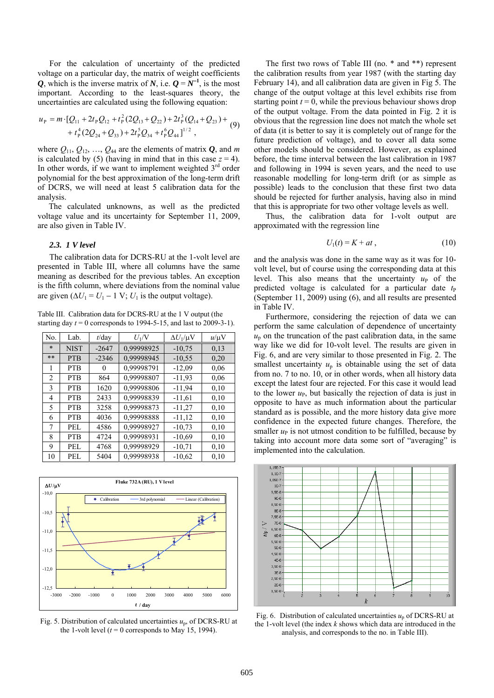For the calculation of uncertainty of the predicted voltage on a particular day, the matrix of weight coefficients *Q*, which is the inverse matrix of *N*, i.e.  $Q = N^{-1}$ , is the most important. According to the least-squares theory, the uncertainties are calculated using the following equation:

$$
u_{P} = m \cdot [Q_{11} + 2t_{P}Q_{12} + t_{P}^{2}(2Q_{13} + Q_{22}) + 2t_{P}^{3}(Q_{14} + Q_{23}) + + t_{P}^{4}(2Q_{24} + Q_{33}) + 2t_{P}^{5}Q_{34} + t_{P}^{6}Q_{44}]^{1/2},
$$
 (9)

where  $Q_{11}$ ,  $Q_{12}$ , ...,  $Q_{44}$  are the elements of matrix  $Q$ , and *m* is calculated by (5) (having in mind that in this case  $z = 4$ ). In other words, if we want to implement weighted  $3<sup>rd</sup>$  order polynomial for the best approximation of the long-term drift of DCRS, we will need at least 5 calibration data for the analysis.

The calculated unknowns, as well as the predicted voltage value and its uncertainty for September 11, 2009, are also given in Table IV.

# *2.3. 1 V level*

The calibration data for DCRS-RU at the 1-volt level are presented in Table III, where all columns have the same meaning as described for the previous tables. An exception is the fifth column, where deviations from the nominal value are given  $(\Delta U_1 = U_1 - 1 \text{ V}; U_1 \text{ is the output voltage}).$ 

Table III. Calibration data for DCRS-RU at the 1 V output (the starting day  $t = 0$  corresponds to 1994-5-15, and last to 2009-3-1).

| No.    | Lab.        | $t$ /day | $U_1/V$    | $\Delta U_1/\mu V$ | $u/\mu V$ |
|--------|-------------|----------|------------|--------------------|-----------|
| $\ast$ | <b>NIST</b> | $-2647$  | 0,99998925 | $-10,75$           | 0,13      |
| **     | <b>PTB</b>  | $-2346$  | 0,99998945 | $-10,55$           | 0,20      |
| 1      | <b>PTB</b>  | $^{()}$  | 0,99998791 | $-12,09$           | 0.06      |
| 2      | <b>PTB</b>  | 864      | 0,99998807 | $-11,93$           | 0.06      |
| 3      | <b>PTB</b>  | 1620     | 0,99998806 | $-11,94$           | 0,10      |
| 4      | <b>PTB</b>  | 2433     | 0,99998839 | $-11,61$           | 0,10      |
| 5      | <b>PTB</b>  | 3258     | 0,99998873 | $-11,27$           | 0,10      |
| 6      | <b>PTB</b>  | 4036     | 0,99998888 | $-11,12$           | 0,10      |
| 7      | PEL.        | 4586     | 0,99998927 | $-10,73$           | 0,10      |
| 8      | <b>PTB</b>  | 4724     | 0,99998931 | $-10,69$           | 0,10      |
| 9      | PEL         | 4768     | 0,99998929 | $-10,71$           | 0,10      |
| 10     | PEL.        | 5404     | 0,99998938 | $-10,62$           | 0.10      |



Fig. 5. Distribution of calculated uncertainties *u*p, of DCRS-RU at the 1-volt level ( $t = 0$  corresponds to May 15, 1994).

The first two rows of Table III (no. \* and \*\*) represent the calibration results from year 1987 (with the starting day February 14), and all calibration data are given in Fig 5. The change of the output voltage at this level exhibits rise from starting point  $t = 0$ , while the previous behaviour shows drop of the output voltage. From the data pointed in Fig. 2 it is obvious that the regression line does not match the whole set of data (it is better to say it is completely out of range for the future prediction of voltage), and to cover all data some other models should be considered. However, as explained before, the time interval between the last calibration in 1987 and following in 1994 is seven years, and the need to use reasonable modelling for long-term drift (or as simple as possible) leads to the conclusion that these first two data should be rejected for further analysis, having also in mind that this is appropriate for two other voltage levels as well.

Thus, the calibration data for 1-volt output are approximated with the regression line

$$
U_1(t) = K + at \t{,} \t(10)
$$

and the analysis was done in the same way as it was for 10 volt level, but of course using the corresponding data at this level. This also means that the uncertainty  $u_{\rm P}$  of the predicted voltage is calculated for a particular date  $t_P$ (September 11, 2009) using (6), and all results are presented in Table IV.

Furthermore, considering the rejection of data we can perform the same calculation of dependence of uncertainty  $u_p$  on the truncation of the past calibration data, in the same way like we did for 10-volt level. The results are given in Fig. 6, and are very similar to those presented in Fig. 2. The smallest uncertainty  $u_p$  is obtainable using the set of data from no. 7 to no. 10, or in other words, when all history data except the latest four are rejected. For this case it would lead to the lower  $u_{\rm P}$ , but basically the rejection of data is just in opposite to have as much information about the particular standard as is possible, and the more history data give more confidence in the expected future changes. Therefore, the smaller  $u<sub>P</sub>$  is not utmost condition to be fulfilled, because by taking into account more data some sort of "averaging" is implemented into the calculation.



Fig. 6. Distribution of calculated uncertainties  $u_p$  of DCRS-RU at the 1-volt level (the index *k* shows which data are introduced in the analysis, and corresponds to the no. in Table III).